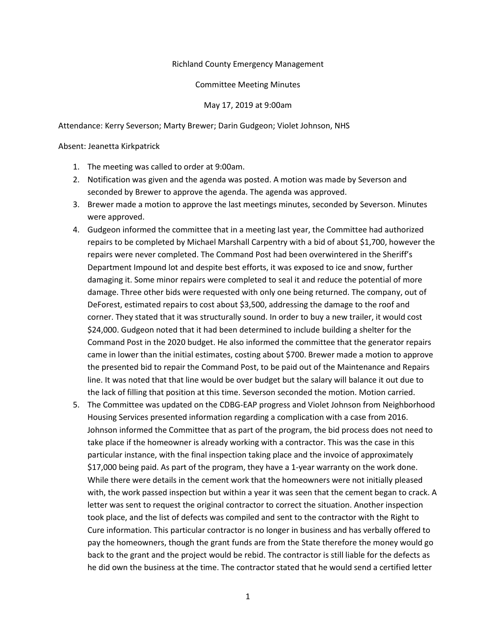## Richland County Emergency Management

## Committee Meeting Minutes

## May 17, 2019 at 9:00am

Attendance: Kerry Severson; Marty Brewer; Darin Gudgeon; Violet Johnson, NHS

Absent: Jeanetta Kirkpatrick

- 1. The meeting was called to order at 9:00am.
- 2. Notification was given and the agenda was posted. A motion was made by Severson and seconded by Brewer to approve the agenda. The agenda was approved.
- 3. Brewer made a motion to approve the last meetings minutes, seconded by Severson. Minutes were approved.
- 4. Gudgeon informed the committee that in a meeting last year, the Committee had authorized repairs to be completed by Michael Marshall Carpentry with a bid of about \$1,700, however the repairs were never completed. The Command Post had been overwintered in the Sheriff's Department Impound lot and despite best efforts, it was exposed to ice and snow, further damaging it. Some minor repairs were completed to seal it and reduce the potential of more damage. Three other bids were requested with only one being returned. The company, out of DeForest, estimated repairs to cost about \$3,500, addressing the damage to the roof and corner. They stated that it was structurally sound. In order to buy a new trailer, it would cost \$24,000. Gudgeon noted that it had been determined to include building a shelter for the Command Post in the 2020 budget. He also informed the committee that the generator repairs came in lower than the initial estimates, costing about \$700. Brewer made a motion to approve the presented bid to repair the Command Post, to be paid out of the Maintenance and Repairs line. It was noted that that line would be over budget but the salary will balance it out due to the lack of filling that position at this time. Severson seconded the motion. Motion carried.
- 5. The Committee was updated on the CDBG-EAP progress and Violet Johnson from Neighborhood Housing Services presented information regarding a complication with a case from 2016. Johnson informed the Committee that as part of the program, the bid process does not need to take place if the homeowner is already working with a contractor. This was the case in this particular instance, with the final inspection taking place and the invoice of approximately \$17,000 being paid. As part of the program, they have a 1-year warranty on the work done. While there were details in the cement work that the homeowners were not initially pleased with, the work passed inspection but within a year it was seen that the cement began to crack. A letter was sent to request the original contractor to correct the situation. Another inspection took place, and the list of defects was compiled and sent to the contractor with the Right to Cure information. This particular contractor is no longer in business and has verbally offered to pay the homeowners, though the grant funds are from the State therefore the money would go back to the grant and the project would be rebid. The contractor is still liable for the defects as he did own the business at the time. The contractor stated that he would send a certified letter